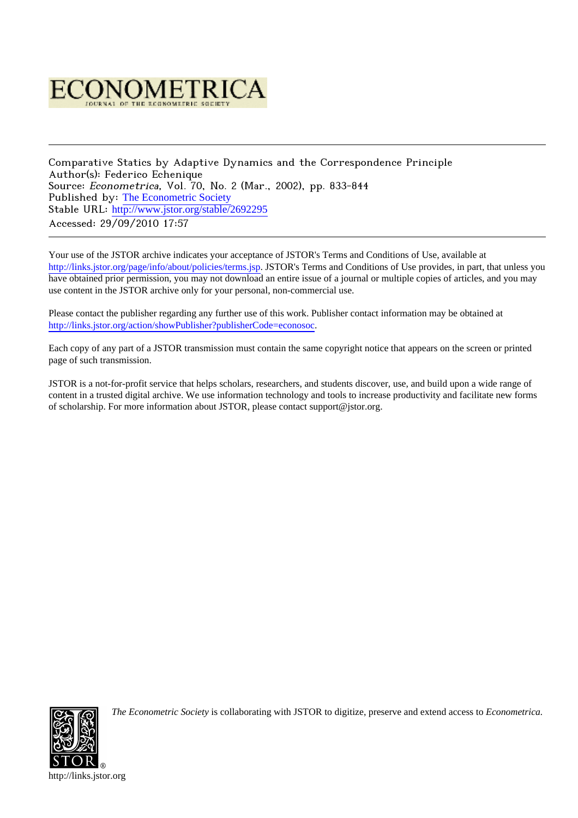

Comparative Statics by Adaptive Dynamics and the Correspondence Principle Author(s): Federico Echenique Source: Econometrica, Vol. 70, No. 2 (Mar., 2002), pp. 833-844 Published by: [The Econometric Society](http://links.jstor.org/action/showPublisher?publisherCode=econosoc) Stable URL: [http://www.jstor.org/stable/2692295](http://www.jstor.org/stable/2692295?origin=JSTOR-pdf) Accessed: 29/09/2010 17:57

Your use of the JSTOR archive indicates your acceptance of JSTOR's Terms and Conditions of Use, available at <http://links.jstor.org/page/info/about/policies/terms.jsp>. JSTOR's Terms and Conditions of Use provides, in part, that unless you have obtained prior permission, you may not download an entire issue of a journal or multiple copies of articles, and you may use content in the JSTOR archive only for your personal, non-commercial use.

Please contact the publisher regarding any further use of this work. Publisher contact information may be obtained at [http://links.jstor.org/action/showPublisher?publisherCode=econosoc.](http://links.jstor.org/action/showPublisher?publisherCode=econosoc)

Each copy of any part of a JSTOR transmission must contain the same copyright notice that appears on the screen or printed page of such transmission.

JSTOR is a not-for-profit service that helps scholars, researchers, and students discover, use, and build upon a wide range of content in a trusted digital archive. We use information technology and tools to increase productivity and facilitate new forms of scholarship. For more information about JSTOR, please contact support@jstor.org.



*The Econometric Society* is collaborating with JSTOR to digitize, preserve and extend access to *Econometrica.*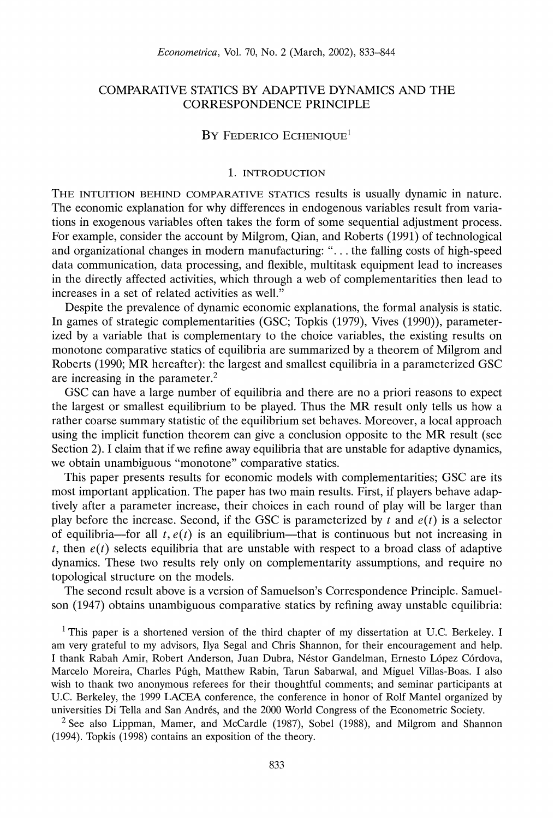# **COMPARATIVE STATICS BY ADAPTIVE DYNAMICS AND THE CORRESPONDENCE PRINCIPLE**

# **BY FEDERICO ECHENIQUE'**

### **1. INTRODUCTION**

**THE INTUITION BEHIND COMPARATIVE STATICS results is usually dynamic in nature. The economic explanation for why differences in endogenous variables result from variations in exogenous variables often takes the form of some sequential adjustment process. For example, consider the account by Milgrom, Qian, and Roberts (1991) of technological and organizational changes in modern manufacturing: ". . . the falling costs of high-speed data communication, data processing, and flexible, multitask equipment lead to increases in the directly affected activities, which through a web of complementarities then lead to increases in a set of related activities as well."** 

**Despite the prevalence of dynamic economic explanations, the formal analysis is static. In games of strategic complementarities (GSC; Topkis (1979), Vives (1990)), parameterized by a variable that is complementary to the choice variables, the existing results on monotone comparative statics of equilibria are summarized by a theorem of Milgrom and Roberts (1990; MR hereafter): the largest and smallest equilibria in a parameterized GSC are increasing in the parameter.2** 

**GSC can have a large number of equilibria and there are no a priori reasons to expect the largest or smallest equilibrium to be played. Thus the MR result only tells us how a rather coarse summary statistic of the equilibrium set behaves. Moreover, a local approach using the implicit function theorem can give a conclusion opposite to the MR result (see Section 2). I claim that if we refine away equilibria that are unstable for adaptive dynamics, we obtain unambiguous "monotone" comparative statics.** 

**This paper presents results for economic models with complementarities; GSC are its most important application. The paper has two main results. First, if players behave adaptively after a parameter increase, their choices in each round of play will be larger than**  play before the increase. Second, if the GSC is parameterized by  $t$  and  $e(t)$  is a selector of equilibria-for all  $t$ ,  $e(t)$  is an equilibrium-that is continuous but not increasing in  $t$ , then  $e(t)$  selects equilibria that are unstable with respect to a broad class of adaptive **dynamics. These two results rely only on complementarity assumptions, and require no topological structure on the models.** 

**The second result above is a version of Samuelson's Correspondence Principle. Samuelson (1947) obtains unambiguous comparative statics by refining away unstable equilibria:** 

**<sup>1</sup>This paper is a shortened version of the third chapter of my dissertation at U.C. Berkeley. I am very grateful to my advisors, Ilya Segal and Chris Shannon, for their encouragement and help.**  I thank Rabah Amir, Robert Anderson, Juan Dubra, Néstor Gandelman, Ernesto López Córdova, **Marcelo Moreira, Charles Pugh, Matthew Rabin, Tarun Sabarwal, and Miguel Villas-Boas. I also wish to thank two anonymous referees for their thoughtful comments; and seminar participants at U.C. Berkeley, the 1999 LACEA conference, the conference in honor of Rolf Mantel organized by**  universities Di Tella and San Andrés, and the 2000 World Congress of the Econometric Society.

<sup>2</sup> See also Lippman, Mamer, and McCardle (1987), Sobel (1988), and Milgrom and Shannon **(1994). Topkis (1998) contains an exposition of the theory.**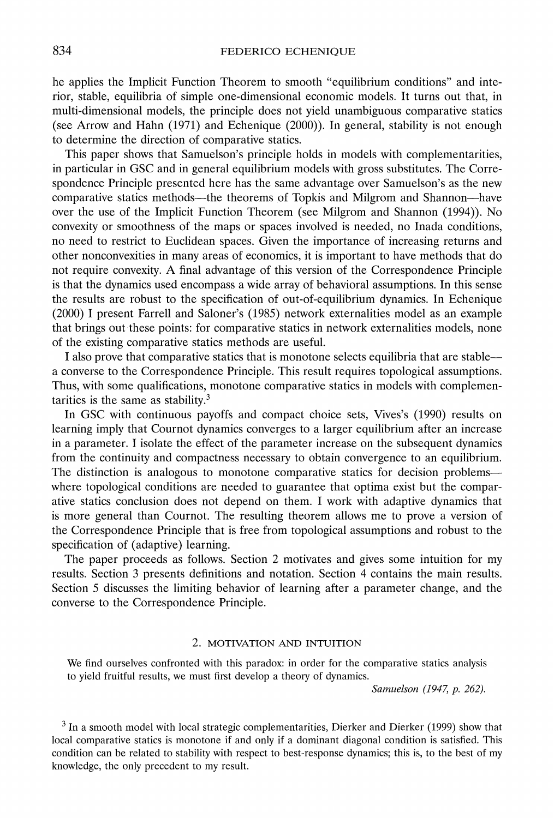**he applies the Implicit Function Theorem to smooth "equilibrium conditions" and interior, stable, equilibria of simple one-dimensional economic models. It turns out that, in multi-dimensional models, the principle does not yield unambiguous comparative statics (see Arrow and Hahn (1971) and Echenique (2000)). In general, stability is not enough to determine the direction of comparative statics.** 

**This paper shows that Samuelson's principle holds in models with complementarities, in particular in GSC and in general equilibrium models with gross substitutes. The Corre**spondence Principle presented here has the same advantage over Samuelson's as the new **comparative statics methods-the theorems of Topkis and Milgrom and Shannon-have over the use of the Implicit Function Theorem (see Milgrom and Shannon (1994)). No convexity or smoothness of the maps or spaces involved is needed, no Inada conditions, no need to restrict to Euclidean spaces. Given the importance of increasing returns and other nonconvexities in many areas of economics, it is important to have methods that do not require convexity. A final advantage of this version of the Correspondence Principle is that the dynamics used encompass a wide array of behavioral assumptions. In this sense the results are robust to the specification of out-of-equilibrium dynamics. In Echenique (2000) I present Farrell and Saloner's (1985) network externalities model as an example that brings out these points: for comparative statics in network externalities models, none of the existing comparative statics methods are useful.** 

**I also prove that comparative statics that is monotone selects equilibria that are stablea converse to the Correspondence Principle. This result requires topological assumptions. Thus, with some qualifications, monotone comparative statics in models with complementarities is the same as stability.3** 

**In GSC with continuous payoffs and compact choice sets, Vives's (1990) results on learning imply that Cournot dynamics converges to a larger equilibrium after an increase in a parameter. I isolate the effect of the parameter increase on the subsequent dynamics from the continuity and compactness necessary to obtain convergence to an equilibrium.**  The distinction is analogous to monotone comparative statics for decision problems **where topological conditions are needed to guarantee that optima exist but the comparative statics conclusion does not depend on them. I work with adaptive dynamics that**  is more general than Cournot. The resulting theorem allows me to prove a version of **the Correspondence Principle that is free from topological assumptions and robust to the specification of (adaptive) learning.** 

**The paper proceeds as follows. Section 2 motivates and gives some intuition for my results. Section 3 presents definitions and notation. Section 4 contains the main results. Section 5 discusses the limiting behavior of learning after a parameter change, and the converse to the Correspondence Principle.** 

#### **2. MOTIVATION AND INTUITION**

**We find ourselves confronted with this paradox: in order for the comparative statics analysis to yield fruitful results, we must first develop a theory of dynamics.** 

**Samucelson (1947, p. 262).** 

<sup>3</sup> In a smooth model with local strategic complementarities, Dierker and Dierker (1999) show that **local comparative statics is monotone if and only if a dominant diagonal condition is satisfied. This condition can be related to stability with respect to best-response dynamics; this is, to the best of my knowledge, the only precedent to my result.**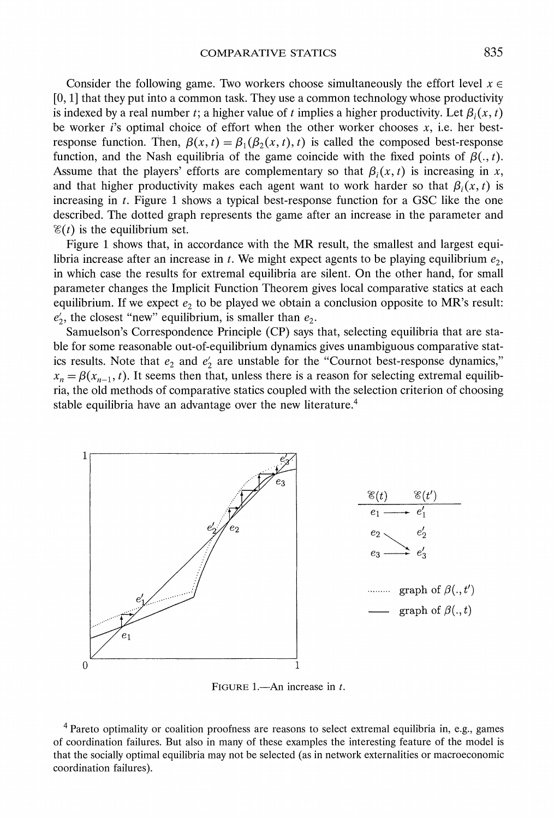Consider the following game. Two workers choose simultaneously the effort level  $x \in$ **[0, 1] that they put into a common task. They use a common technology whose productivity**  is indexed by a real number t; a higher value of t implies a higher productivity. Let  $\beta_i(x, t)$ be worker *i*'s optimal choice of effort when the other worker chooses  $x$ , i.e. her best**response function.** Then,  $\beta(x, t) = \beta_1(\beta_2(x, t), t)$  is called the composed best-response function, and the Nash equilibria of the game coincide with the fixed points of  $\beta(., t)$ . Assume that the players' efforts are complementary so that  $\beta_i(x, t)$  is increasing in x, and that higher productivity makes each agent want to work harder so that  $\beta_i(x, t)$  is **increasing in t. Figure 1 shows a typical best-response function for a GSC like the one described. The dotted graph represents the game after an increase in the parameter and**   $\mathscr{E}(t)$  is the equilibrium set.

**Figure 1 shows that, in accordance with the MR result, the smallest and largest equi**libria increase after an increase in  $t$ . We might expect agents to be playing equilibrium  $e_2$ , **in which case the results for extremal equilibria are silent. On the other hand, for small parameter changes the Implicit Function Theorem gives local comparative statics at each**  equilibrium. If we expect  $e_2$  to be played we obtain a conclusion opposite to MR's result:  $e'_2$ , the closest "new" equilibrium, is smaller than  $e_2$ .

**Samuelson's Correspondence Principle (CP) says that, selecting equilibria that are stable for some reasonable out-of-equilibrium dynamics gives unambiguous comparative stat**ics results. Note that  $e_2$  and  $e'_2$  are unstable for the "Cournot best-response dynamics,"  $x_n = \beta(x_{n-1}, t)$ . It seems then that, unless there is a reason for selecting extremal equilib**ria, the old methods of comparative statics coupled with the selection criterion of choosing stable equilibria have an advantage over the new literature.4** 



**FIGURE 1.**—An increase in *t*.

**4 Pareto optimality or coalition proofness are reasons to select extremal equilibria in, e.g., games of coordination failures. But also in many of these examples the interesting feature of the model is that the socially optimal equilibria may not be selected (as in network externalities or macroeconomic coordination failures).**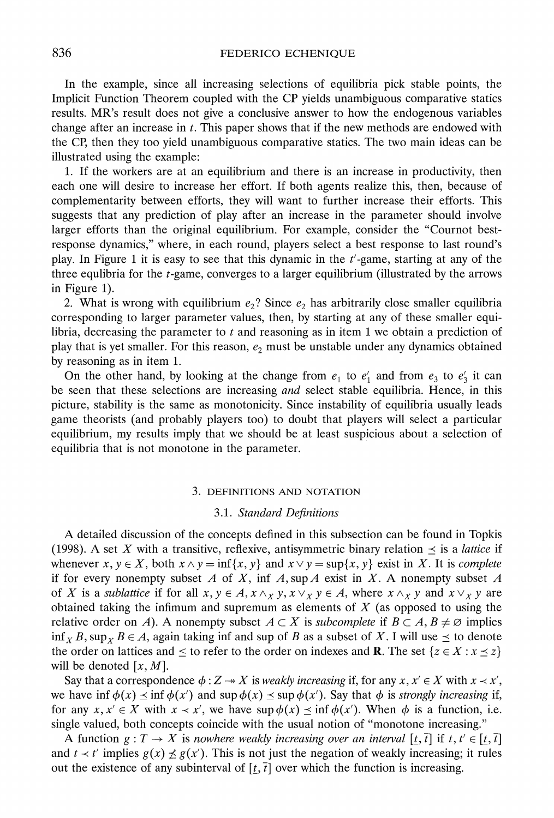**In the example, since all increasing selections of equilibria pick stable points, the Implicit Function Theorem coupled with the CP yields unambiguous comparative statics results. MR's result does not give a conclusive answer to how the endogenous variables change after an increase in t. This paper shows that if the new methods are endowed with the CP, then they too yield unambiguous comparative statics. The two main ideas can be illustrated using the example:** 

**1. If the workers are at an equilibrium and there is an increase in productivity, then each one will desire to increase her effort. If both agents realize this, then, because of complementarity between efforts, they will want to further increase their efforts. This suggests that any prediction of play after an increase in the parameter should involve larger efforts than the original equilibrium. For example, consider the "Cournot bestresponse dynamics," where, in each round, players select a best response to last round's play. In Figure 1 it is easy to see that this dynamic in the t'-game, starting at any of the three equlibria for the t-game, converges to a larger equilibrium (illustrated by the arrows in Figure 1).** 

2. What is wrong with equilibrium  $e_2$ ? Since  $e_2$  has arbitrarily close smaller equilibria **corresponding to larger parameter values, then, by starting at any of these smaller equi**libria, decreasing the parameter to  $t$  and reasoning as in item 1 we obtain a prediction of play that is yet smaller. For this reason,  $e_2$  must be unstable under any dynamics obtained **by reasoning as in item 1.** 

On the other hand, by looking at the change from  $e_1$  to  $e'_1$  and from  $e_3$  to  $e'_3$  it can **be seen that these selections are increasing and select stable equilibria. Hence, in this picture, stability is the same as monotonicity. Since instability of equilibria usually leads game theorists (and probably players too) to doubt that players will select a particular equilibrium, my results imply that we should be at least suspicious about a selection of equilibria that is not monotone in the parameter.** 

### **3. DEFINITIONS AND NOTATION**

# **3.1. Standard Definitions**

**A detailed discussion of the concepts defined in this subsection can be found in Topkis**  (1998). A set X with a transitive, reflexive, antisymmetric binary relation  $\leq$  is a *lattice* if whenever  $x, y \in X$ , both  $x \wedge y = \inf\{x, y\}$  and  $x \vee y = \sup\{x, y\}$  exist in X. It is complete if for every nonempty subset  $A$  of  $X$ , inf  $A$ , sup  $A$  exist in  $X$ . A nonempty subset  $A$ of X is a sublattice if for all  $x, y \in A$ ,  $x \wedge_X y$ ,  $x \vee_X y \in A$ , where  $x \wedge_X y$  and  $x \vee_X y$  are **obtained taking the infimum and supremum as elements of X (as opposed to using the relative order on A). A nonempty subset**  $A \subset X$  **is subcomplete if**  $B \subset A$ **,**  $B \neq \emptyset$  **implies**  $\inf_{X} B$ ,  $\sup_{X} B \in A$ , again taking inf and sup of B as a subset of X. I will use  $\leq$  to denote the order on lattices and  $\leq$  to refer to the order on indexes and **R**. The set  $\{z \in X : x \leq z\}$ will be denoted  $[x, M]$ .

Say that a correspondence  $\phi$ :  $Z \rightarrow X$  is weakly increasing if, for any  $x, x' \in X$  with  $x \prec x'$ , we have  $\inf \phi(x) \leq \inf \phi(x')$  and  $\sup \phi(x) \leq \sup \phi(x')$ . Say that  $\phi$  is *strongly increasing* if, for any  $x, x' \in X$  with  $x \prec x'$ , we have  $\sup \phi(x) \preceq \inf \phi(x')$ . When  $\phi$  is a function, i.e. **single valued, both concepts coincide with the usual notion of "monotone increasing."** 

**A** function  $g: T \to X$  is nowhere weakly increasing over an interval  $[t, \overline{t}]$  if  $t, t' \in [t, \overline{t}]$ and  $t \prec t'$  implies  $g(x) \not\preceq g(x')$ . This is not just the negation of weakly increasing; it rules out the existence of any subinterval of  $[t, \bar{t}]$  over which the function is increasing.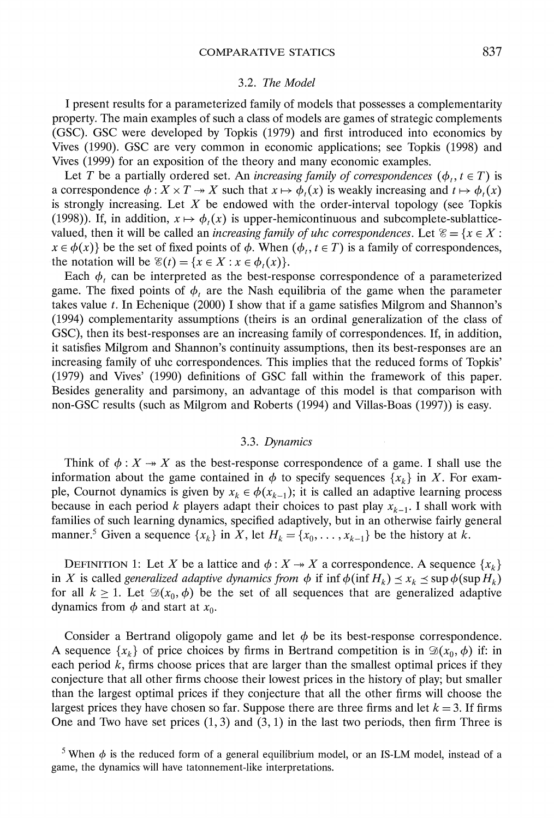# **COMPARATIVE STATICS 837**

### **3.2. The Model**

**I present results for a parameterized family of models that possesses a complementarity property. The main examples of such a class of models are games of strategic complements (GSC). GSC were developed by Topkis (1979) and first introduced into economics by Vives (1990). GSC are very common in economic applications; see Topkis (1998) and Vives (1999) for an exposition of the theory and many economic examples.** 

Let T be a partially ordered set. An increasing family of correspondences  $(\phi_t, t \in T)$  is **a** correspondence  $\phi: X \times T \to X$  such that  $x \mapsto \phi_t(x)$  is weakly increasing and  $t \mapsto \phi_t(x)$ **is strongly increasing. Let X be endowed with the order-interval topology (see Topkis**  (1998)). If, in addition,  $x \mapsto \phi_i(x)$  is upper-hemicontinuous and subcomplete-sublatticevalued, then it will be called an *increasing family of uhc correspondences*. Let  $\mathscr{E} = \{x \in X :$  $x \in \phi(x)$  be the set of fixed points of  $\phi$ . When  $(\phi_t, t \in T)$  is a family of correspondences, the notation will be  $\mathcal{E}(t) = \{x \in X : x \in \phi_t(x)\}.$ 

Each  $\phi$ , can be interpreted as the best-response correspondence of a parameterized game. The fixed points of  $\phi_t$  are the Nash equilibria of the game when the parameter **takes value t. In Echenique (2000) I show that if a game satisfies Milgrom and Shannon's (1994) complementarity assumptions (theirs is an ordinal generalization of the class of GSC), then its best-responses are an increasing family of correspondences. If, in addition, it satisfies Milgrom and Shannon's continuity assumptions, then its best-responses are an increasing family of uhc correspondences. This implies that the reduced forms of Topkis' (1979) and Vives' (1990) definitions of GSC fall within the framework of this paper. Besides generality and parsimony, an advantage of this model is that comparison with non-GSC results (such as Milgrom and Roberts (1994) and Villas-Boas (1997)) is easy.** 

#### **3.3. Dynamics**

Think of  $\phi: X \rightarrow X$  as the best-response correspondence of a game. I shall use the **information about the game contained in**  $\phi$  **to specify sequences**  $\{x_k\}$  **in X. For exam**ple, Cournot dynamics is given by  $x_k \in \phi(x_{k-1})$ ; it is called an adaptive learning process because in each period k players adapt their choices to past play  $X_{k-1}$ . I shall work with **families of such learning dynamics, specified adaptively, but in an otherwise fairly general manner.**<sup>5</sup> Given a sequence  $\{x_k\}$  in X, let  $H_k = \{x_0, \ldots, x_{k-1}\}$  be the history at k.

**DEFINITION 1:** Let X be a lattice and  $\phi: X \rightarrow X$  a correspondence. A sequence  $\{x_k\}$ in X is called generalized adaptive dynamics from  $\phi$  if inf  $\phi(\inf H_k) \le x_k \le \sup \phi(\sup H_k)$ for all  $k \geq 1$ . Let  $\mathcal{D}(x_0, \phi)$  be the set of all sequences that are generalized adaptive **dynamics** from  $\phi$  and start at  $x_0$ .

Consider a Bertrand oligopoly game and let  $\phi$  be its best-response correspondence. **A** sequence  $\{x_k\}$  of price choices by firms in Bertrand competition is in  $\mathcal{D}(x_0, \phi)$  if: in **each period k, firms choose prices that are larger than the smallest optimal prices if they conjecture that all other firms choose their lowest prices in the history of play; but smaller than the largest optimal prices if they conjecture that all the other firms will choose the**  largest prices they have chosen so far. Suppose there are three firms and let  $k = 3$ . If firms **One and Two have set prices (1, 3) and (3, 1) in the last two periods, then firm Three is** 

<sup>&</sup>lt;sup>5</sup> When  $\phi$  is the reduced form of a general equilibrium model, or an IS-LM model, instead of a **game, the dynamics will have tatonnement-like interpretations.**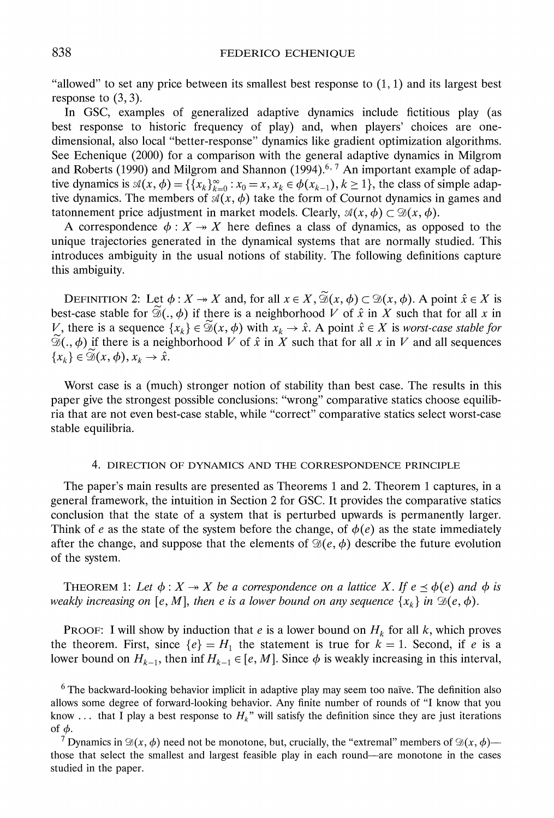**"allowed" to set any price between its smallest best response to (1, 1) and its largest best response to (3, 3).** 

**In GSC, examples of generalized adaptive dynamics include fictitious play (as best response to historic frequency of play) and, when players' choices are onedimensional, also local "better-response" dynamics like gradient optimization algorithms. See Echenique (2000) for a comparison with the general adaptive dynamics in Milgrom and Roberts (1990) and Milgrom and Shannon (1994).6 7 An important example of adap**tive dynamics is  $\mathcal{A}(x, \phi) = \{ \{x_k\}_{k=0}^{\infty} : x_0 = x, x_k \in \phi(x_{k-1}), k \ge 1 \}$ , the class of simple adaptive dynamics. The members of  $\mathcal{A}(x, \phi)$  take the form of Cournot dynamics in games and **tatonnement price adjustment in market models. Clearly,**  $\mathcal{A}(x, \phi) \subset \mathcal{D}(x, \phi)$ **.** 

A correspondence  $\phi: X \rightarrow X$  here defines a class of dynamics, as opposed to the **unique trajectories generated in the dynamical systems that are normally studied. This introduces ambiguity in the usual notions of stability. The following definitions capture this ambiguity.** 

**DEFINITION 2:** Let  $\phi: X \to X$  and, for all  $x \in X$ ,  $\widetilde{\mathcal{D}}(x, \phi) \subset \mathcal{D}(x, \phi)$ . A point  $\hat{x} \in X$  is best-case stable for  $\widetilde{\mathfrak{D}}(., \phi)$  if there is a neighborhood V of  $\hat{x}$  in X such that for all x in  $V$ , there is a sequence  $\{x_k\} \in \widetilde{\mathfrak{D}}(x, \phi)$  with  $\overline{x}_k \to \hat{x}$ . A point  $\hat{x} \in X$  is worst-case stable for  $\widetilde{\mathcal{A}}(.,\phi)$  if there is a neighborhood V of  $\hat{x}$  in X such that for all x in V and all sequences  $\{x_k\} \in \mathcal{D}(x, \phi), x_k \to \hat{x}.$ 

**Worst case is a (much) stronger notion of stability than best case. The results in this paper give the strongest possible conclusions: "wrong" comparative statics choose equilibria that are not even best-case stable, while "correct" comparative statics select worst-case stable equilibria.** 

### **4. DIRECTION OF DYNAMICS AND THE CORRESPONDENCE PRINCIPLE**

**The paper's main results are presented as Theorems 1 and 2. Theorem 1 captures, in a general framework, the intuition in Section 2 for GSC. It provides the comparative statics conclusion that the state of a system that is perturbed upwards is permanently larger.**  Think of e as the state of the system before the change, of  $\phi(e)$  as the state immediately after the change, and suppose that the elements of  $\mathcal{D}(e, \phi)$  describe the future evolution **of the system.** 

**THEOREM 1:** Let  $\phi: X \rightarrow X$  be a correspondence on a lattice X. If  $e \leq \phi(e)$  and  $\phi$  is weakly increasing on [e, M], then e is a lower bound on any sequence  $\{x_k\}$  in  $\mathfrak{D}(e, \phi)$ .

**PROOF: I** will show by induction that e is a lower bound on  $H_k$  for all k, which proves the theorem. First, since  ${e} = H_1$  the statement is true for  $k = 1$ . Second, if e is a lower bound on  $H_{k-1}$ , then inf  $H_{k-1} \in [e, M]$ . Since  $\phi$  is weakly increasing in this interval,

**<sup>6</sup>The backward-looking behavior implicit in adaptive play may seem too naive. The definition also allows some degree of forward-looking behavior. Any finite number of rounds of "I know that you**  know ... that  $\overline{I}$  play a best response to  $H_k$ " will satisfy the definition since they are just iterations of  $\phi$ .

<sup>&</sup>lt;sup>7</sup> Dynamics in  $\mathcal{D}(x, \phi)$  need not be monotone, but, crucially, the "extremal" members of  $\mathcal{D}(x, \phi)$  **those that select the smallest and largest feasible play in each round-are monotone in the cases studied in the paper.**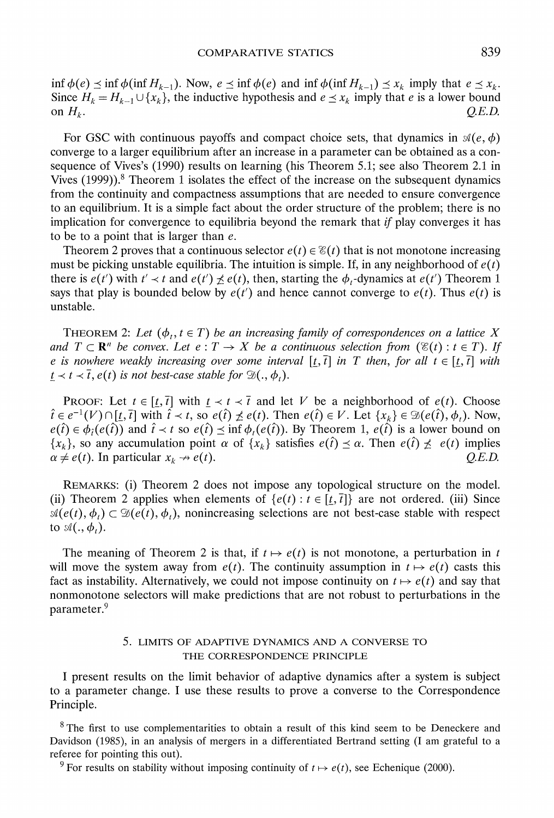$\inf \phi(e) \leq \inf \phi(\inf H_{k-1})$ . Now,  $e \leq \inf \phi(e)$  and  $\inf \phi(\inf H_{k-1}) \leq x_k$  imply that  $e \leq x_k$ . Since  $H_k = H_{k-1} \cup \{x_k\}$ , the inductive hypothesis and  $e \le x_k$  imply that e is a lower bound on  $H_k$ .  $Q.E.D.$ 

For GSC with continuous payoffs and compact choice sets, that dynamics in  $\mathcal{A}(e, \phi)$ **converge to a larger equilibrium after an increase in a parameter can be obtained as a consequence of Vives's (1990) results on learning (his Theorem 5.1; see also Theorem 2.1 in**  Vives (1999)).<sup>8</sup> Theorem 1 isolates the effect of the increase on the subsequent dynamics **from the continuity and compactness assumptions that are needed to ensure convergence to an equilibrium. It is a simple fact about the order structure of the problem; there is no implication for convergence to equilibria beyond the remark that if play converges it has to be to a point that is larger than e.** 

Theorem 2 proves that a continuous selector  $e(t) \in \mathcal{E}(t)$  that is not monotone increasing must be picking unstable equilibria. The intuition is simple. If, in any neighborhood of  $e(t)$ there is  $e(t')$  with  $t' \prec t$  and  $e(t') \not\preceq e(t)$ , then, starting the  $\phi_t$ -dynamics at  $e(t')$  Theorem 1 says that play is bounded below by  $e(t')$  and hence cannot converge to  $e(t)$ . Thus  $e(t)$  is **unstable.** 

**THEOREM 2:** Let  $(\phi_t, t \in T)$  be an increasing family of correspondences on a lattice X and  $T \subset \mathbb{R}^n$  be convex. Let  $e: T \to X$  be a continuous selection from  $(\mathcal{E}(t): t \in T)$ . If **e** is nowhere weakly increasing over some interval  $[t, \bar{t}]$  in T then, for all  $t \in [t, \bar{t}]$  with  $t \lt t \lt \overline{t}$ ,  $e(t)$  is not best-case stable for  $\mathcal{D}(\cdot, \phi_t)$ .

**PROOF:** Let  $t \in [t, \overline{t}]$  with  $t \lt t \lt \overline{t}$  and let V be a neighborhood of  $e(t)$ . Choose  $\hat{t} \in e^{-1}(V) \cap [\underline{t}, \overline{t}]$  with  $\hat{t} \prec t$ , so  $e(\hat{t}) \not\preceq e(t)$ . Then  $e(\hat{t}) \in V$ . Let  $\{x_k\} \in \mathfrak{D}(e(\hat{t}), \phi_t)$ . Now,  $e(\hat{t}) \in \phi_i(e(\hat{t}))$  and  $\hat{t} \prec t$  so  $e(\hat{t}) \preceq \inf \phi_i(e(\hat{t}))$ . By Theorem 1,  $e(\hat{t})$  is a lower bound on  ${x_k}$ , so any accumulation point  $\alpha$  of  ${x_k}$  satisfies  $e(\hat{t}) \leq \alpha$ . Then  $e(\hat{t}) \neq e(t)$  implies  $\alpha \neq e(t)$ . In particular  $x_k \rightarrow e(t)$ .  $\alpha \neq e(t)$ . In particular  $x_k \nrightarrow e(t)$ .

**REMARKS: (i) Theorem 2 does not impose any topological structure on the model.**  (ii) Theorem 2 applies when elements of  $\{e(t): t \in [\underline{t}, \overline{t}]\}$  are not ordered. (iii) Since  $\mathcal{A}(e(t), \phi_t) \subset \mathcal{D}(e(t), \phi_t)$ , nonincreasing selections are not best-case stable with respect to  $\mathcal{A}(., \phi_1)$ .

The meaning of Theorem 2 is that, if  $t \mapsto e(t)$  is not monotone, a perturbation in t will move the system away from  $e(t)$ . The continuity assumption in  $t \mapsto e(t)$  casts this fact as instability. Alternatively, we could not impose continuity on  $t \mapsto e(t)$  and say that **nonmonotone selectors will make predictions that are not robust to perturbations in the parameter.9** 

# **5. LIMITS OF ADAPTIVE DYNAMICS AND A CONVERSE TO THE CORRESPONDENCE PRINCIPLE**

**I present results on the limit behavior of adaptive dynamics after a system is subject to a parameter change. I use these results to prove a converse to the Correspondence Principle.** 

**<sup>8</sup>The first to use complementarities to obtain a result of this kind seem to be Deneckere and Davidson (1985), in an analysis of mergers in a differentiated Bertrand setting (I am grateful to a referee for pointing this out).** 

<sup>9</sup> For results on stability without imposing continuity of  $t \mapsto e(t)$ , see Echenique (2000).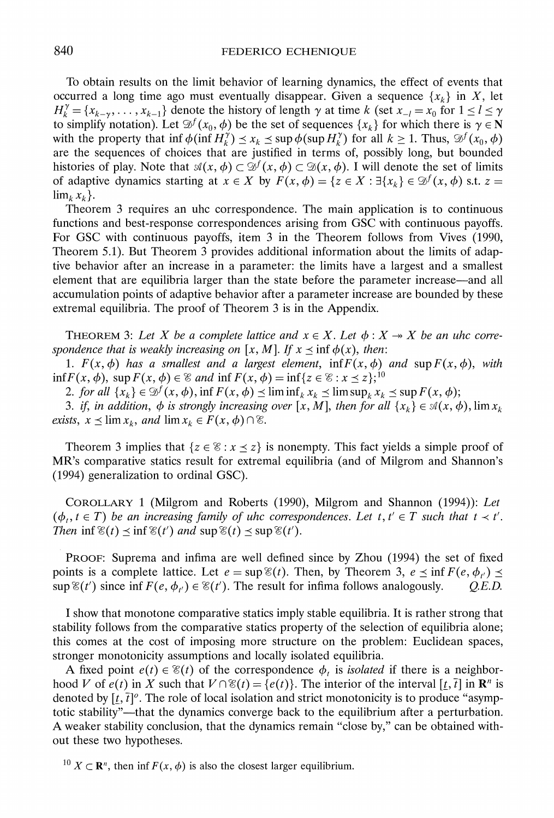# **840 FEDERICO ECHENIQUE**

**To obtain results on the limit behavior of learning dynamics, the effect of events that occurred a long time ago must eventually disappear. Given a sequence**  $\{x_k\}$  **in X, let**  $H_k^{\gamma} = \{x_{k-\gamma}, \ldots, x_{k-1}\}\$  denote the history of length  $\gamma$  at time k (set  $x_{-l} = x_0$  for  $1 \le l \le \gamma$ to simplify notation). Let  $\mathcal{D}^f(x_0, \phi)$  be the set of sequences  $\{x_k\}$  for which there is  $\gamma \in \mathbb{N}$ with the property that inf  $\phi(\inf H_k^{\gamma}) \leq x_k \leq \sup \phi(\sup H_k^{\gamma})$  for all  $k \geq 1$ . Thus,  $\mathcal{D}^f(x_0, \phi)$ **are the sequences of choices that are justified in terms of, possibly long, but bounded**  histories of play. Note that  $\mathcal{A}(x, \phi) \subset \mathcal{D}^f(x, \phi) \subset \mathcal{D}(x, \phi)$ . I will denote the set of limits **of adaptive dynamics starting at**  $x \in X$  **by**  $F(x, \phi) = \{z \in X : \exists \{x_k\} \in \mathcal{D}^f(x, \phi) \text{ s.t. } z =$  $\lim_k x_k$ .

**Theorem 3 requires an uhc correspondence. The main application is to continuous functions and best-response correspondences arising from GSC with continuous payoffs. For GSC with continuous payoffs, item 3 in the Theorem follows from Vives (1990, Theorem 5.1). But Theorem 3 provides additional information about the limits of adaptive behavior after an increase in a parameter: the limits have a largest and a smallest element that are equilibria larger than the state before the parameter increase-and all accumulation points of adaptive behavior after a parameter increase are bounded by these extremal equilibria. The proof of Theorem 3 is in the Appendix.** 

**THEOREM 3:** Let *X* be a complete lattice and  $x \in X$ . Let  $\phi : X \rightarrow X$  be an uhc correspondence that is weakly increasing on  $[x, M]$ . If  $x \le \inf \phi(x)$ , then:

**1.**  $F(x, \phi)$  has a smallest and a largest element,  $\inf F(x, \phi)$  and  $\sup F(x, \phi)$ , with  $\inf F(x, \phi)$ ,  $\sup F(x, \phi) \in \mathcal{E}$  and  $\inf F(x, \phi) = \inf \{ z \in \mathcal{E} : x \leq z \}$ ,  $\frac{10}{10}$ 

2. for all  $\{x_k\} \in \mathcal{D}^f(x, \phi)$ ,  $\inf F(x, \phi) \leq \liminf_k x_k \leq \limsup_k x_k \leq \sup F(x, \phi)$ ;

**3.** if, in addition,  $\phi$  is strongly increasing over  $[x, M]$ , then for all  $\{x_k\} \in \mathcal{A}(x, \phi)$ ,  $\lim x_k$ *exists,*  $x \leq \lim x_k$ , and  $\lim x_k \in F(x, \phi) \cap \mathcal{E}$ .

Theorem 3 implies that  $\{z \in \mathcal{E} : x \leq z\}$  is nonempty. This fact yields a simple proof of **MR's comparative statics result for extremal equilibria (and of Milgrom and Shannon's (1994) generalization to ordinal GSC).** 

**COROLLARY 1 (Milgrom and Roberts (1990), Milgrom and Shannon (1994)): Let**   $(\phi_t, t \in T)$  be an increasing family of uhc correspondences. Let  $t, t' \in T$  such that  $t \prec t'$ . *Then*  $\inf \mathcal{E}(t) \leq \inf \mathcal{E}(t')$  *and*  $\sup \mathcal{E}(t) \leq \sup \mathcal{E}(t')$ .

**PROOF: Suprema and infima are well defined since by Zhou (1994) the set of fixed points is a complete lattice. Let**  $e = \sup \mathcal{E}(t)$ **. Then, by Theorem 3,**  $e \le \inf F(e, \phi_{\iota}) \le$  $\sup \mathcal{E}(t')$  since inf  $F(e, \phi_{t'}) \in \mathcal{E}(t')$ . The result for infima follows analogously. Q.E.D.

**I show that monotone comparative statics imply stable equilibria. It is rather strong that stability follows from the comparative statics property of the selection of equilibria alone; this comes at the cost of imposing more structure on the problem: Euclidean spaces, stronger monotonicity assumptions and locally isolated equilibria.** 

**A** fixed point  $e(t) \in \mathcal{E}(t)$  of the correspondence  $\phi_t$  is *isolated* if there is a neighborhood V of  $e(t)$  in X such that  $V \cap \mathcal{E}(t) = \{e(t)\}\)$ . The interior of the interval  $[t, \bar{t}]$  in  $\mathbb{R}^n$  is denoted by  $[t, \bar{t}]^{\circ}$ . The role of local isolation and strict monotonicity is to produce "asymp**totic stability"-that the dynamics converge back to the equilibrium after a perturbation. A weaker stability conclusion, that the dynamics remain "close by," can be obtained without these two hypotheses.** 

<sup>10</sup>  $X \subset \mathbf{R}^n$ , then inf  $F(x, \phi)$  is also the closest larger equilibrium.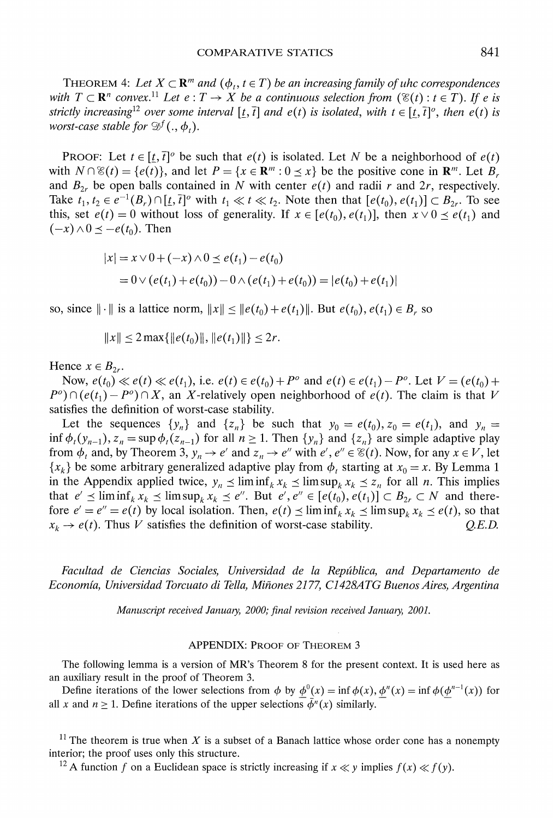**THEOREM 4:** Let  $X \subset \mathbb{R}^m$  and  $(\phi_t, t \in T)$  be an increasing family of uhc correspondences with  $T \subset \mathbf{R}^n$  convex.<sup>11</sup> Let  $e: T \to X$  be a continuous selection from  $(\mathscr{E}(t): t \in T)$ . If e is strictly increasing<sup>12</sup> over some interval  $[t, \bar{t}]$  and  $e(t)$  is isolated, with  $t \in [t, \bar{t}]^o$ , then  $e(t)$  is *worst-case stable for* $\mathcal{D}^f$  **(.,**  $\phi$ **,).** 

**PROOF:** Let  $t \in [t, \bar{t}]^{\circ}$  be such that  $e(t)$  is isolated. Let N be a neighborhood of  $e(t)$ with  $N \cap \mathcal{E}(t) = \{e(t)\}\$ , and let  $P = \{x \in \mathbb{R}^m : 0 \leq x\}$  be the positive cone in  $\mathbb{R}^m$ . Let  $B_r$ and  $B_{2r}$  be open balls contained in N with center  $e(t)$  and radii r and  $2r$ , respectively. Take  $t_1, t_2 \in e^{-1}(B_r) \cap [t, \bar{t}]^{\circ}$  with  $t_1 \ll t \ll t_2$ . Note then that  $[e(t_0), e(t_1)] \subset B_{2r}$ . To see this, set  $e(t) = 0$  without loss of generality. If  $x \in [e(t_0), e(t_1)]$ , then  $x \vee 0 \le e(t_1)$  and  $(-x) \wedge 0 \leq -e(t_0)$ . Then

$$
|x| = x \lor 0 + (-x) \land 0 \le e(t_1) - e(t_0)
$$
  
= 0 \lor (e(t\_1) + e(t\_0)) - 0 \land (e(t\_1) + e(t\_0)) = |e(t\_0) + e(t\_1)|

so, since  $\|\cdot\|$  is a lattice norm,  $\|x\| \leq \|e(t_0) + e(t_1)\|$ . But  $e(t_0)$ ,  $e(t_1) \in B_r$ , so

 $||x|| \leq 2 \max\{ ||e(t_0)||, ||e(t_1)|| \} \leq 2r.$ 

Hence  $x \in B_{2r}$ .

Now,  $e(t_0) \ll e(t) \ll e(t_1)$ , i.e.  $e(t) \in e(t_0) + P^o$  and  $e(t) \in e(t_1) - P^o$ . Let  $V = (e(t_0) + P^o)$  $P^{\circ}$ )  $\cap$  (e(t<sub>1</sub>) –  $P^{\circ}$ )  $\cap$  X, an X-relatively open neighborhood of e(t). The claim is that V **satisfies the definition of worst-case stability.** 

Let the sequences  $\{y_n\}$  and  $\{z_n\}$  be such that  $y_0 = e(t_0), z_0 = e(t_1)$ , and  $y_n = e(t_0)$  $\inf \phi_i(y_{n-1}), z_n = \sup \phi_i(z_{n-1})$  for all  $n \ge 1$ . Then  $\{y_n\}$  and  $\{z_n\}$  are simple adaptive play from  $\phi_t$  and, by Theorem 3,  $y_n \to e'$  and  $z_n \to e''$  with  $e', e'' \in \mathcal{E}(t)$ . Now, for any  $x \in V$ , let  $\{x_k\}$  be some arbitrary generalized adaptive play from  $\phi_t$  starting at  $x_0 = x$ . By Lemma 1 in the Appendix applied twice,  $y_n \leq \liminf_k x_k \leq \limsup_k x_k \leq z_n$  for all *n*. This implies that  $e' \leq \liminf_k x_k \leq \limsup_k x_k \leq e''$ . But  $e', e'' \in [e(t_0), e(t_1)] \subset B_{2r} \subset N$  and therefore  $e' = e'' = e(t)$  by local isolation. Then,  $e(t) \le \liminf_k x_k \le \limsup_k x_k \le e(t)$ , so that  $x_k \rightarrow e(t)$ . Thus V satisfies the definition of worst-case stability.  $Q.E.D.$ 

**Facultad de Ciencias Sociales, Universidad de la Repiblica, and Departamento de Economia, Universidad Torcuato di Tella, Mifiones 2177, C1428ATG Buenos Aires, Argentina** 

Manuscript received January, 2000; final revision received January, 2001.

#### **APPENDIX: PROOF OF THEOREM 3**

**The following lemma is a version of MR's Theorem 8 for the present context. It is used here as an auxiliary result in the proof of Theorem 3.** 

**Define iterations of the lower selections from**  $\phi$  **by**  $\phi^0(x) = \inf \phi(x), \phi^0(x) = \inf \phi(\phi^{n-1}(x))$  **for** all x and  $n \ge 1$ . Define iterations of the upper selections  $\bar{\phi}^n(x)$  similarly.

<sup>11</sup> The theorem is true when  $X$  is a subset of a Banach lattice whose order cone has a nonempty **interior; the proof uses only this structure.** 

<sup>12</sup>**A** function f on a Euclidean space is strictly increasing if  $x \ll y$  implies  $f(x) \ll f(y)$ .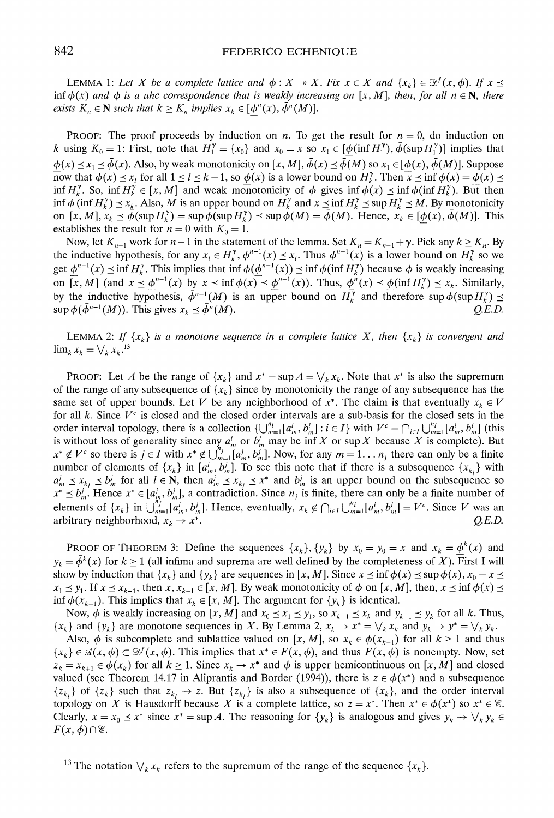**LEMMA 1:** Let X be a complete lattice and  $\phi: X \to X$ . Fix  $x \in X$  and  $\{x_k\} \in \mathcal{D}^f(x, \phi)$ . If  $x \preceq$ **inf**  $\phi(x)$  and  $\phi$  is a uhc correspondence that is weakly increasing on [x, M], then, for all  $n \in \mathbb{N}$ , there *exists*  $K_n \in \mathbb{N}$  such that  $k \geq K_n$  implies  $x_k \in [\phi^n(x), \bar{\phi}^n(M)]$ .

**PROOF:** The proof proceeds by induction on *n*. To get the result for  $n = 0$ , do induction on *k* **using**  $K_0 = 1$ **: First, note that**  $H_1^{\gamma} = \{x_0\}$  **and**  $x_0 = x$  **so**  $x_1 \in [\phi(\inf H_1^{\gamma}), \bar{\phi}(\sup H_1^{\gamma})]$  **implies that**  $\phi(x) \leq x_1 \leq \bar{\phi}(x)$ . Also, by weak monotonicity on [x, M],  $\bar{\phi}(x) \leq \bar{\phi}(M)$  so  $x_1 \in [\phi(x), \bar{\phi}(M)]$ . Suppose **now that**  $\phi(x) \leq x_i$  **for all**  $1 \leq i \leq k-1$ **, so**  $\phi(x)$  **is a lower bound on**  $H_k^{\gamma}$ **. Then**  $x \leq \inf \phi(x) = \phi(x) \leq$  $\inf H_k^{\gamma}$ . So,  $\inf H_k^{\gamma} \in [x, M]$  and weak monotonicity of  $\phi$  gives  $\inf \phi(x) \leq \inf \phi(\inf H_k^{\gamma})$ . But then  $\inf \phi$  ( $\inf H_k^{\gamma} \geq x_k$ . Also, M is an upper bound on  $H_k^{\gamma}$  and  $x \leq \inf H_k^{\gamma} \leq \sup H_k^{\gamma} \leq M$ . By monotonicity **on**  $[x, M]$ ,  $x_k \leq \phi(\sup H_k^{\gamma}) = \sup \phi(\sup H_k^{\gamma}) \leq \sup \phi(M) = \phi(M)$ . Hence,  $x_k \in [\phi(x), \phi(M)]$ . This establishes the result for  $n = 0$  with  $K_0 = 1$ .

Now, let  $K_{n-1}$  work for  $n-1$  in the statement of the lemma. Set  $K_n = K_{n-1} + \gamma$ . Pick any  $k \ge K_n$ . By the inductive hypothesis, for any  $x_i \in H_k^{\gamma}$ ,  $\phi^{n-1}(x) \le x_i$ . Thus  $\phi^{n-1}(x)$  is a lower bound on  $H_k^{\gamma}$  so we get  $\phi^{n-1}(x) \le \inf H_k^{\gamma}$ . This implies that  $\inf \overline{\phi(\phi^{n-1}(x))} \le \inf \phi(\inf H_k^{\gamma})$  because  $\phi$  is weakly increasing on  $\overline{[x, M]}$  (and  $x \leq \phi^{n-1}(x)$  by  $x \leq \inf \phi(x) \leq \phi^{n-1}(x)$ ). Thus,  $\phi^{n}(x) \leq \phi(\inf H_{k}^{y}) \leq x_{k}$ . Similarly, by the inductive hypothesis,  $\bar{\phi}^{n-1}(M)$  is an upper bound on  $\bar{H}_k^{\gamma}$  and therefore  $\sup \phi(\sup H_k^{\gamma}) \preceq$ <br>sup  $\phi(\bar{\phi}^{n-1}(M))$ . This gives  $x_k \preceq \bar{\phi}^n(M)$ .  $\sup \phi(\bar{\phi}^{n-1}(M))$ . This gives  $x_k \leq \bar{\phi}^n(M)$ .

**LEMMA 2:** If  $\{x_k\}$  is a monotone sequence in a complete lattice X, then  $\{x_k\}$  is convergent and  $\lim_{k} x_k = \bigvee_k x_k$ <sup>13</sup>

**PROOF:** Let A be the range of  $\{x_k\}$  and  $x^* = \sup A = \bigvee_k x_k$ . Note that  $x^*$  is also the supremum of the range of any subsequence of  $\{x_k\}$  since by monotonicity the range of any subsequence has the same set of upper bounds. Let V be any neighborhood of  $x^*$ . The claim is that eventually  $x_k \in V$ for all k. Since  $V^c$  is closed and the closed order intervals are a sub-basis for the closed sets in the **order interval topology, there is a collection**  $\{\bigcup_{m=1}^{n_i} [a_m^i, b_m^i] : i \in I\}$  **with**  $V^c = \bigcap_{i \in I} \bigcup_{m=1}^{n_i} [a_m^i, b_m^i]$  **(this** is without loss of generality since any  $a_m^i$  or  $b_m^i$  may be inf X or sup X because X is complete). But  $x^* \notin V^c$  so there is  $j \in I$  with  $x^* \notin \bigcup_{m=1}^{n_j} [a_m^j, b_m^j]$ . Now, for any  $m = 1... n_j$  there can only be a finite **number** of elements of  $\{x_k\}$  in  $[a_m^i, b_m^j]$ . To see this note that if there is a subsequence  $\{x_{k_i}\}$  with  $a_m^j \leq x_{k_j} \leq b_m^j$  for all  $l \in \mathbb{N}$ , then  $a_m^j \leq x_{k_j} \leq x^*$  and  $b_m^j$  is an upper bound on the subsequence so  $x^* \leq b_m^j$ . Hence  $x^* \in [a_m^j, b_m^j]$ , a contradiction. Since  $n_j$  is finite, there can only be a finite number of **elements of**  $\{x_k\}$  in  $\bigcup_{m=1}^{n_j} [a_m^i, b_m^j]$ . Hence, eventually,  $x_k \notin \bigcap_{i \in I} \bigcup_{m=1}^{n_j} [a_m^i, b_m^i] = V^c$ . Since V was an arbitrary neighborhood,  $x_k \to x^*$ . Q.E.D. arbitrary neighborhood,  $x_k \rightarrow x^*$ .

**PROOF OF THEOREM 3:** Define the sequences  $\{x_k\}$ ,  $\{y_k\}$  by  $x_0 = y_0 = x$  and  $x_k = \phi^k(x)$  and  $y_k = \bar{\phi}^k(x)$  for  $k \ge 1$  (all infima and suprema are well defined by the completeness of X). First I will show by induction that  $\{x_k\}$  and  $\{y_k\}$  are sequences in [x, M]. Since  $x \le \inf \phi(x) \le \sup \phi(x)$ ,  $x_0 = x \le$  $x_1 \leq y_1$ . If  $x \leq x_{k-1}$ , then  $x, x_{k-1} \in [x, M]$ . By weak monotonicity of  $\phi$  on  $[x, M]$ , then,  $x \leq \inf \phi(x) \leq$ inf  $\phi(x_{k-1})$ . This implies that  $x_k \in [x, M]$ . The argument for  $\{y_k\}$  is identical.

Now,  $\phi$  is weakly increasing on [x, M] and  $x_0 \le x_1 \le y_1$ , so  $x_{k-1} \le x_k$  and  $y_{k-1} \le y_k$  for all k. Thus,  $\{x_k\}$  and  $\{y_k\}$  are monotone sequences in X. By Lemma 2,  $x_k \to x^* = \bigvee_k x_k$  and  $y_k \to y^* = \bigvee_k y_k$ .

Also,  $\phi$  is subcomplete and sublattice valued on [x, M], so  $x_k \in \phi(x_{k-1})$  for all  $k \ge 1$  and thus  ${x_k} \in \mathcal{A}(x, \phi) \subset \mathcal{D}^f(x, \phi)$ . This implies that  $x^* \in F(x, \phi)$ , and thus  $F(x, \phi)$  is nonempty. Now, set  $z_k = x_{k+1} \in \phi(x_k)$  for all  $k \ge 1$ . Since  $x_k \to x^*$  and  $\phi$  is upper hemicontinuous on [x, M] and closed valued (see Theorem 14.17 in Aliprantis and Border (1994)), there is  $z \in \phi(x^*)$  and a subsequence  $\{z_{k_1}\}\$  of  $\{z_k\}$  such that  $z_{k_1} \rightarrow z$ . But  $\{z_{k_1}\}\$  is also a subsequence of  $\{x_k\}$ , and the order interval **topology on X** is Hausdorff because X is a complete lattice, so  $z = x^*$ . Then  $x^* \in \phi(x^*)$  so  $x^* \in \mathcal{E}$ . Clearly,  $x = x_0 \le x^*$  since  $x^* = \sup A$ . The reasoning for  $\{y_k\}$  is analogous and gives  $y_k \to \bigvee_k y_k \in$  $F(x, \phi) \cap \mathscr{E}$ .

<sup>13</sup> The notation  $\bigvee_k x_k$  refers to the supremum of the range of the sequence  $\{x_k\}$ .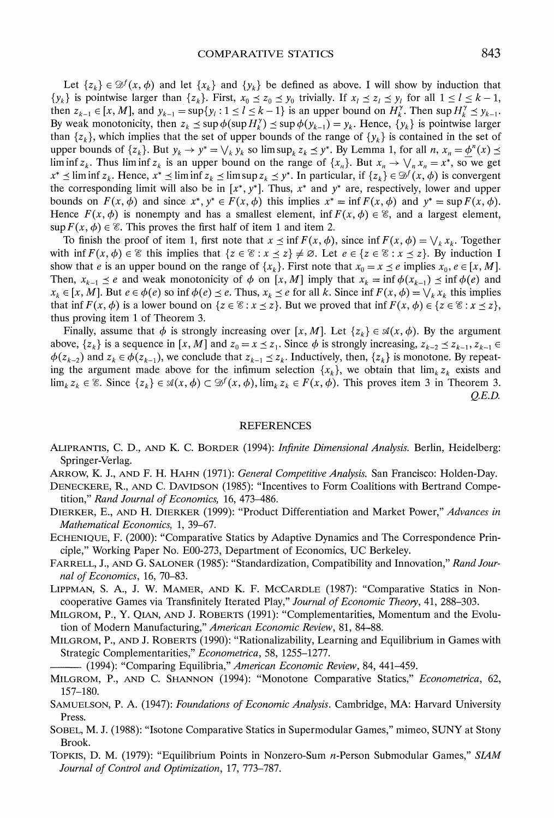Let  $\{z_k\} \in \mathcal{D}^f(x, \phi)$  and let  $\{x_k\}$  and  $\{y_k\}$  be defined as above. I will show by induction that  $\{y_k\}$  is pointwise larger than  $\{z_k\}$ . First,  $x_0 \leq z_0 \leq y_0$  trivially. If  $x_i \leq z_i \leq y_i$  for all  $1 \leq l \leq k-1$ , **then**  $z_{k-1} \in [x, M]$ , and  $y_{k-1} = \sup\{y_i : 1 \leq l \leq k-1\}$  is an upper bound on  $H_k^{\gamma}$ . Then  $\sup H_k^{\gamma} \leq y_{k-1}$ . By weak monotonicity, then  $z_k \leq \sup \phi(\sup H_k^{\gamma}) \leq \sup \phi(y_{k-1}) = y_k$ . Hence,  $\{y_k\}$  is pointwise larger **than**  $\{z_k\}$ , which implies that the set of upper bounds of the range of  $\{y_k\}$  is contained in the set of **upper bounds of**  $\{z_k\}$ **. But**  $y_k \to y^* = \bigvee_k y_k$  **so**  $\limsup_k z_k \leq y^*$ **. By Lemma 1, for all**  $n, x_n = \underline{\phi}^n(x) \leq$  $\liminf z_k$ . Thus  $\liminf z_k$  is an upper bound on the range of  $\{x_n\}$ . But  $x_n \to \bigvee_n x_n = x^*$ , so we get  $x^* \leq \liminf z_k$ . Hence,  $x^* \leq \liminf z_k \leq \limsup z_k \leq y^*$ . In particular, if  $\{z_k\} \in \mathcal{D}^f(x, \phi)$  is convergent the corresponding limit will also be in  $[x^*, y^*]$ . Thus,  $x^*$  and  $y^*$  are, respectively, lower and upper **bounds on**  $F(x, \phi)$  and since  $x^*$ ,  $y^* \in F(x, \phi)$  this implies  $x^* = \inf F(x, \phi)$  and  $y^* = \sup F(x, \phi)$ . Hence  $F(x, \phi)$  is nonempty and has a smallest element, inf  $F(x, \phi) \in \mathcal{E}$ , and a largest element,  $\sup F(x, \phi) \in \mathcal{E}$ . This proves the first half of item 1 and item 2.

To finish the proof of item 1, first note that  $x \le \inf F(x, \phi)$ , since  $\inf F(x, \phi) = \bigvee_k x_k$ . Together with inf  $F(x, \phi) \in \mathcal{E}$  this implies that  $\{z \in \mathcal{E} : x \leq z\} \neq \emptyset$ . Let  $e \in \{z \in \mathcal{E} : x \leq z\}$ . By induction I show that *e* is an upper bound on the range of  $\{x_k\}$ . First note that  $x_0 = x \le e$  implies  $x_0, e \in [x, M]$ . Then,  $x_{k-1} \leq e$  and weak monotonicity of  $\phi$  on [x, M] imply that  $x_k = \inf \phi(x_{k-1}) \leq \inf \phi(e)$  and  $X_k \in [x, M]$ . But  $e \in \phi(e)$  so inf  $\phi(e) \leq e$ . Thus,  $X_k \leq e$  for all k. Since inf  $F(x, \phi) = \bigvee_k X_k$  this implies **that inf**  $F(x, \phi)$  is a lower bound on  $\{z \in \mathcal{E} : x \leq z\}$ . But we proved that inf  $F(x, \phi) \in \{z \in \mathcal{E} : x \leq z\}$ , **thus proving item 1 of Theorem 3.** 

**Finally, assume that**  $\phi$  **is strongly increasing over**  $[x, M]$ **. Let**  $\{z_k\} \in \mathcal{A}(x, \phi)$ **. By the argument** above,  $\{z_k\}$  is a sequence in  $[x, M]$  and  $z_0 = x \leq z_1$ . Since  $\phi$  is strongly increasing,  $z_{k-2} \leq z_{k-1}, z_{k-1} \in$  $\phi(z_{k-2})$  and  $z_k \in \phi(z_{k-1})$ , we conclude that  $z_{k-1} \leq z_k$ . Inductively, then,  $\{z_k\}$  is monotone. By repeating the argument made above for the infimum selection  $\{x_k\}$ , we obtain that  $\lim_k z_k$  exists and  $\lim_{k} z_k \in \mathcal{E}$ . Since  $\{z_k\} \in \mathcal{A}(x, \phi) \subset \mathcal{D}^f(x, \phi)$ ,  $\lim_{k} z_k \in F(x, \phi)$ . This proves item 3 in Theorem 3. **Q.E.D.** 

#### **REFERENCES**

- **ALIPRANTIS, C. D., AND K. C. BORDER (1994): Infinite Dimensional Analysis. Berlin, Heidelberg: Springer-Verlag.**
- **ARROW, K. J., AND F. H. HAHN (1971): General Competitive Analysis. San Francisco: Holden-Day.**
- **DENECKERE, R., AND C. DAVIDSON (1985): "Incentives to Form Coalitions with Bertrand Competition," Rand Journal of Economics, 16, 473-486.**
- **DIERKER, E., AND H. DIERKER (1999): "Product Differentiation and Market Power," Advances in Mathematical Economics, 1, 39-67.**
- **ECHENIQUE, F. (2000): "Comparative Statics by Adaptive Dynamics and The Correspondence Principle," Working Paper No. E00-273, Department of Economics, UC Berkeley.**
- **FARRELL, J., AND G. SALONER (1985): "Standardization, Compatibility and Innovation," Rand Journal of Economics, 16, 70-83.**
- **LIPPMAN, S. A., J. W. MAMER, AND K. F. MCCARDLE (1987): "Comparative Statics in Noncooperative Games via Transfinitely Iterated Play," Journal of Economic Theory, 41, 288-303.**
- **MILGROM, P., Y. QIAN, AND J. ROBERTS (1991): "Complementarities, Momentum and the Evolution of Modern Manufacturing," American Economic Review, 81, 84-88.**
- **MILGROM, P., AND J. ROBERTS (1990): "Rationalizability, Learning and Equilibrium in Games with Strategic Complementarities," Econometrica, 58, 1255-1277.**
- **(1994): "Comparing Equilibria," American Economic Review, 84, 441-459.**
- **MILGROM, P., AND C. SHANNON (1994): "Monotone Comparative Statics," Econometrica, 62, 157-180.**
- **SAMUELSON, P. A. (1947): Foundations of Economic Analysis. Cambridge, MA: Harvard University Press.**
- **SOBEL, M. J. (1988): "Isotone Comparative Statics in Supermodular Games," mimeo, SUNY at Stony Brook.**
- **ToPKIS, D. M. (1979): "Equilibrium Points in Nonzero-Sum n-Person Submodular Games," SL4M Journal of Control and Optimization, 17, 773-787.**